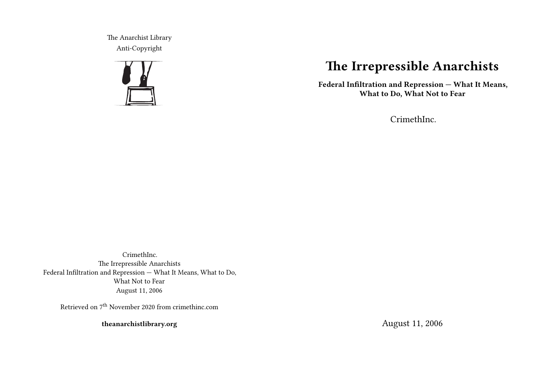The Anarchist Library Anti-Copyright



# **The Irrepressible Anarchists**

**Federal Infiltration and Repression — What It Means, What to Do, What Not to Fear**

CrimethInc.

CrimethInc. The Irrepressible Anarchists Federal Infiltration and Repression — What It Means, What to Do, What Not to Fear August 11, 2006

Retrieved on 7th November 2020 from crimethinc.com

**theanarchistlibrary.org**

August 11, 2006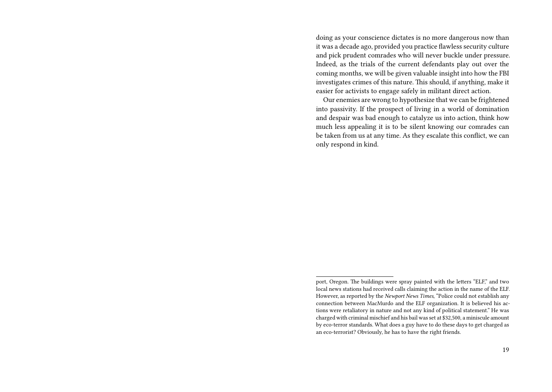doing as your conscience dictates is no more dangerous now than it was a decade ago, provided you practice flawless security culture and pick prudent comrades who will never buckle under pressure. Indeed, as the trials of the current defendants play out over the coming months, we will be given valuable insight into how the FBI investigates crimes of this nature. This should, if anything, make it easier for activists to engage safely in militant direct action.

Our enemies are wrong to hypothesize that we can be frightened into passivity. If the prospect of living in a world of domination and despair was bad enough to catalyze us into action, think how much less appealing it is to be silent knowing our comrades can be taken from us at any time. As they escalate this conflict, we can only respond in kind.

port, Oregon. The buildings were spray painted with the letters "ELF," and two local news stations had received calls claiming the action in the name of the ELF. However, as reported by the *Newport News Times*, "Police could not establish any connection between MacMurdo and the ELF organization. It is believed his actions were retaliatory in nature and not any kind of political statement." He was charged with criminal mischief and his bail was set at \$32,500, a miniscule amount by eco-terror standards. What does a guy have to do these days to get charged as an eco-terrorist? Obviously, he has to have the right friends.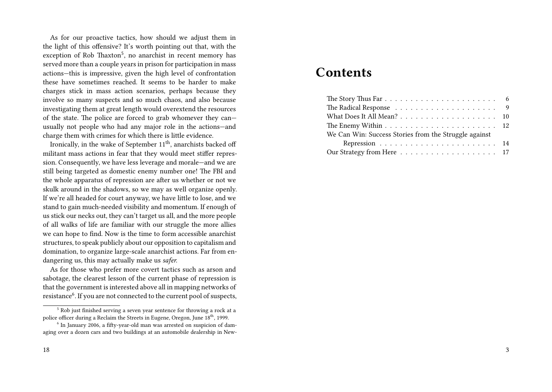As for our proactive tactics, how should we adjust them in the light of this offensive? It's worth pointing out that, with the exception of Rob Thaxton<sup>5</sup>, no anarchist in recent memory has served more than a couple years in prison for participation in mass actions—this is impressive, given the high level of confrontation these have sometimes reached. It seems to be harder to make charges stick in mass action scenarios, perhaps because they involve so many suspects and so much chaos, and also because investigating them at great length would overextend the resources of the state. The police are forced to grab whomever they can usually not people who had any major role in the actions—and charge them with crimes for which there is little evidence.

Ironically, in the wake of September 11<sup>th</sup>, anarchists backed off militant mass actions in fear that they would meet stiffer repression. Consequently, we have less leverage and morale—and we are still being targeted as domestic enemy number one! The FBI and the whole apparatus of repression are after us whether or not we skulk around in the shadows, so we may as well organize openly. If we're all headed for court anyway, we have little to lose, and we stand to gain much-needed visibility and momentum. If enough of us stick our necks out, they can't target us all, and the more people of all walks of life are familiar with our struggle the more allies we can hope to find. Now is the time to form accessible anarchist structures, to speak publicly about our opposition to capitalism and domination, to organize large-scale anarchist actions. Far from endangering us, this may actually make us *safer.*

As for those who prefer more covert tactics such as arson and sabotage, the clearest lesson of the current phase of repression is that the government is interested above all in mapping networks of resistance<sup>6</sup>. If you are not connected to the current pool of suspects,

## **Contents**

| We Can Win: Success Stories from the Struggle against |  |
|-------------------------------------------------------|--|
|                                                       |  |
|                                                       |  |

<sup>5</sup> Rob just finished serving a seven year sentence for throwing a rock at a police officer during a Reclaim the Streets in Eugene, Oregon, June 18<sup>th</sup>, 1999.

<sup>&</sup>lt;sup>6</sup> In January 2006, a fifty-year-old man was arrested on suspicion of damaging over a dozen cars and two buildings at an automobile dealership in New-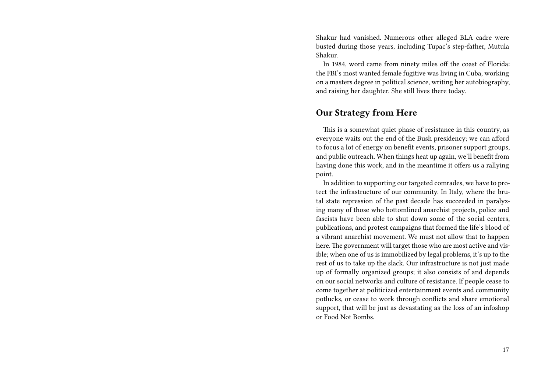Shakur had vanished. Numerous other alleged BLA cadre were busted during those years, including Tupac's step-father, Mutula Shakur.

In 1984, word came from ninety miles off the coast of Florida: the FBI's most wanted female fugitive was living in Cuba, working on a masters degree in political science, writing her autobiography, and raising her daughter. She still lives there today.

## **Our Strategy from Here**

This is a somewhat quiet phase of resistance in this country, as everyone waits out the end of the Bush presidency; we can afford to focus a lot of energy on benefit events, prisoner support groups, and public outreach. When things heat up again, we'll benefit from having done this work, and in the meantime it offers us a rallying point.

In addition to supporting our targeted comrades, we have to protect the infrastructure of our community. In Italy, where the brutal state repression of the past decade has succeeded in paralyzing many of those who bottomlined anarchist projects, police and fascists have been able to shut down some of the social centers, publications, and protest campaigns that formed the life's blood of a vibrant anarchist movement. We must not allow that to happen here. The government will target those who are most active and visible; when one of us is immobilized by legal problems, it's up to the rest of us to take up the slack. Our infrastructure is not just made up of formally organized groups; it also consists of and depends on our social networks and culture of resistance. If people cease to come together at politicized entertainment events and community potlucks, or cease to work through conflicts and share emotional support, that will be just as devastating as the loss of an infoshop or Food Not Bombs.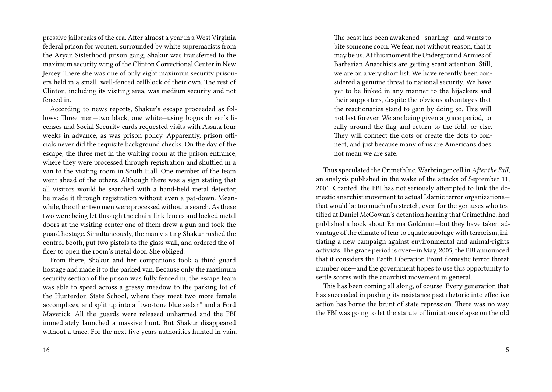pressive jailbreaks of the era. After almost a year in a West Virginia federal prison for women, surrounded by white supremacists from the Aryan Sisterhood prison gang, Shakur was transferred to the maximum security wing of the Clinton Correctional Center in New Jersey. There she was one of only eight maximum security prisoners held in a small, well-fenced cellblock of their own. The rest of Clinton, including its visiting area, was medium security and not fenced in.

According to news reports, Shakur's escape proceeded as follows: Three men—two black, one white—using bogus driver's licenses and Social Security cards requested visits with Assata four weeks in advance, as was prison policy. Apparently, prison officials never did the requisite background checks. On the day of the escape, the three met in the waiting room at the prison entrance, where they were processed through registration and shuttled in a van to the visiting room in South Hall. One member of the team went ahead of the others. Although there was a sign stating that all visitors would be searched with a hand-held metal detector, he made it through registration without even a pat-down. Meanwhile, the other two men were processed without a search. As these two were being let through the chain-link fences and locked metal doors at the visiting center one of them drew a gun and took the guard hostage. Simultaneously, the man visiting Shakur rushed the control booth, put two pistols to the glass wall, and ordered the officer to open the room's metal door. She obliged.

From there, Shakur and her companions took a third guard hostage and made it to the parked van. Because only the maximum security section of the prison was fully fenced in, the escape team was able to speed across a grassy meadow to the parking lot of the Hunterdon State School, where they meet two more female accomplices, and split up into a "two-tone blue sedan" and a Ford Maverick. All the guards were released unharmed and the FBI immediately launched a massive hunt. But Shakur disappeared without a trace. For the next five years authorities hunted in vain. The beast has been awakened—snarling—and wants to bite someone soon. We fear, not without reason, that it may be us. At this moment the Underground Armies of Barbarian Anarchists are getting scant attention. Still, we are on a very short list. We have recently been considered a genuine threat to national security. We have yet to be linked in any manner to the hijackers and their supporters, despite the obvious advantages that the reactionaries stand to gain by doing so. This will not last forever. We are being given a grace period, to rally around the flag and return to the fold, or else. They will connect the dots or create the dots to connect, and just because many of us are Americans does not mean we are safe.

Thus speculated the CrimethInc. Warbringer cell in *After the Fall*, an analysis published in the wake of the attacks of September 11, 2001. Granted, the FBI has not seriously attempted to link the domestic anarchist movement to actual Islamic terror organizations that would be too much of a stretch, even for the geniuses who testified at Daniel McGowan's detention hearing that CrimethInc. had published a book about Emma Goldman—but they have taken advantage of the climate of fear to equate sabotage with terrorism, initiating a new campaign against environmental and animal-rights activists. The grace period is over—in May, 2005, the FBI announced that it considers the Earth Liberation Front domestic terror threat number one—and the government hopes to use this opportunity to settle scores with the anarchist movement in general.

This has been coming all along, of course. Every generation that has succeeded in pushing its resistance past rhetoric into effective action has borne the brunt of state repression. There was no way the FBI was going to let the statute of limitations elapse on the old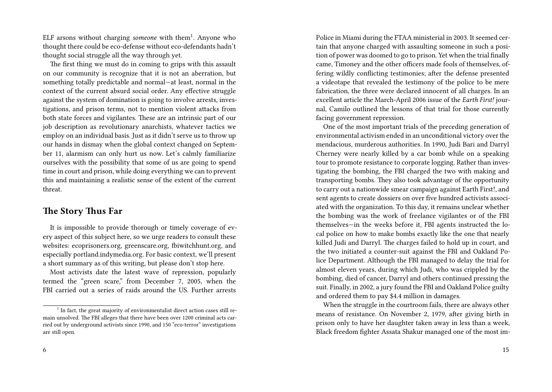ELF arsons without charging *someone* with them<sup>1</sup>. Anyone who thought there could be eco-defense without eco-defendants hadn't thought social struggle all the way through yet.

The first thing we must do in coming to grips with this assault on our community is recognize that it is not an aberration, but something totally predictable and normal—at least, normal in the context of the current absurd social order. Any effective struggle against the system of domination is going to involve arrests, investigations, and prison terms, not to mention violent attacks from both state forces and vigilantes. These are an intrinsic part of our job description as revolutionary anarchists, whatever tactics we employ on an individual basis. Just as it didn't serve us to throw up our hands in dismay when the global context changed on September 11, alarmism can only hurt us now. Let's calmly familiarize ourselves with the possibility that some of us are going to spend time in court and prison, while doing everything we can to prevent this and maintaining a realistic sense of the extent of the current threat.

#### **The Story Thus Far**

It is impossible to provide thorough or timely coverage of every aspect of this subject here, so we urge readers to consult these websites: ecoprisoners.org, greenscare.org, fbiwitchhunt.org, and especially portland.indymedia.org. For basic context, we'll present a short summary as of this writing, but please don't stop here.

Most activists date the latest wave of repression, popularly termed the "green scare," from December 7, 2005, when the FBI carried out a series of raids around the US. Further arrests

Police in Miami during the FTAA ministerial in 2003. It seemed certain that anyone charged with assaulting someone in such a position of power was doomed to go to prison. Yet when the trial finally came, Timoney and the other officers made fools of themselves, offering wildly conflicting testimonies; after the defense presented a videotape that revealed the testimony of the police to be mere fabrication, the three were declared innocent of all charges. In an excellent article the March-April 2006 issue of the *Earth First!* journal, Camilo outlined the lessons of that trial for those currently facing government repression.

One of the most important trials of the preceding generation of environmental activism ended in an unconditional victory over the mendacious, murderous authorities. In 1990, Judi Bari and Darryl Cherney were nearly killed by a car bomb while on a speaking tour to promote resistance to corporate logging. Rather than investigating the bombing, the FBI charged the two with making and transporting bombs. They also took advantage of the opportunity to carry out a nationwide smear campaign against Earth First!, and sent agents to create dossiers on over five hundred activists associated with the organization. To this day, it remains unclear whether the bombing was the work of freelance vigilantes or of the FBI themselves—in the weeks before it, FBI agents instructed the local police on how to make bombs exactly like the one that nearly killed Judi and Darryl. The charges failed to hold up in court, and the two initiated a counter-suit against the FBI and Oakland Police Department. Although the FBI managed to delay the trial for almost eleven years, during which Judi, who was crippled by the bombing, died of cancer, Darryl and others continued pressing the suit. Finally, in 2002, a jury found the FBI and Oakland Police guilty and ordered them to pay \$4.4 million in damages.

When the struggle in the courtroom fails, there are always other means of resistance. On November 2, 1979, after giving birth in prison only to have her daughter taken away in less than a week, Black freedom fighter Assata Shakur managed one of the most im-

<sup>&</sup>lt;sup>1</sup> In fact, the great majority of environmentalist direct action cases still remain unsolved. The FBI alleges that there have been over 1200 criminal acts carried out by underground activists since 1990, and 150 "eco-terror" investigations are still open.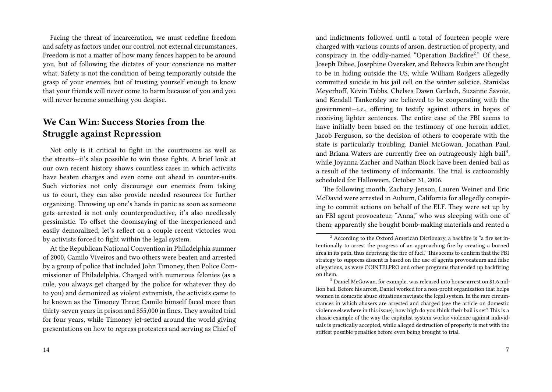Facing the threat of incarceration, we must redefine freedom and safety as factors under our control, not external circumstances. Freedom is not a matter of how many fences happen to be around you, but of following the dictates of your conscience no matter what. Safety is not the condition of being temporarily outside the grasp of your enemies, but of trusting yourself enough to know that your friends will never come to harm because of you and you will never become something you despise.

## **We Can Win: Success Stories from the Struggle against Repression**

Not only is it critical to fight in the courtrooms as well as the streets—it's also possible to win those fights. A brief look at our own recent history shows countless cases in which activists have beaten charges and even come out ahead in counter-suits. Such victories not only discourage our enemies from taking us to court, they can also provide needed resources for further organizing. Throwing up one's hands in panic as soon as someone gets arrested is not only counterproductive, it's also needlessly pessimistic. To offset the doomsaying of the inexperienced and easily demoralized, let's reflect on a couple recent victories won by activists forced to fight within the legal system.

At the Republican National Convention in Philadelphia summer of 2000, Camilo Viveiros and two others were beaten and arrested by a group of police that included John Timoney, then Police Commissioner of Philadelphia. Charged with numerous felonies (as a rule, you always get charged by the police for whatever they do to you) and demonized as violent extremists, the activists came to be known as the Timoney Three; Camilo himself faced more than thirty-seven years in prison and \$55,000 in fines. They awaited trial for four years, while Timoney jet-setted around the world giving presentations on how to repress protesters and serving as Chief of and indictments followed until a total of fourteen people were charged with various counts of arson, destruction of property, and conspiracy in the oddly-named "Operation Backfire<sup>2</sup>." Of these, Joseph Dibee, Josephine Overaker, and Rebecca Rubin are thought to be in hiding outside the US, while William Rodgers allegedly committed suicide in his jail cell on the winter solstice. Stanislas Meyerhoff, Kevin Tubbs, Chelsea Dawn Gerlach, Suzanne Savoie, and Kendall Tankersley are believed to be cooperating with the government—i.e., offering to testify against others in hopes of receiving lighter sentences. The entire case of the FBI seems to have initially been based on the testimony of one heroin addict, Jacob Ferguson, so the decision of others to cooperate with the state is particularly troubling. Daniel McGowan, Jonathan Paul, and Briana Waters are currently free on outrageously high bail<sup>3</sup>, while Joyanna Zacher and Nathan Block have been denied bail as a result of the testimony of informants. The trial is cartoonishly scheduled for Halloween, October 31, 2006.

The following month, Zachary Jenson, Lauren Weiner and Eric McDavid were arrested in Auburn, California for allegedly conspiring to commit actions on behalf of the ELF. They were set up by an FBI agent provocateur, "Anna," who was sleeping with one of them; apparently she bought bomb-making materials and rented a

 $2\text{ According to the Oxford American Dictionary, a backfire is "a fire set in-$ tentionally to arrest the progress of an approaching fire by creating a burned area in its path, thus depriving the fire of fuel." This seems to confirm that the FBI strategy to suppress dissent is based on the use of agents provocateurs and false allegations, as were COINTELPRO and other programs that ended up backfiring on them.

<sup>&</sup>lt;sup>3</sup> Daniel McGowan, for example, was released into house arrest on \$1.6 million bail. Before his arrest, Daniel worked for a non-profit organization that helps women in domestic abuse situations navigate the legal system. In the rare circumstances in which abusers are arrested and charged (see the article on domestic violence elsewhere in this issue), how high do you think their bail is set? This is a classic example of the way the capitalist system works: violence against individuals is practically accepted, while alleged destruction of property is met with the stiffest possible penalties before even being brought to trial.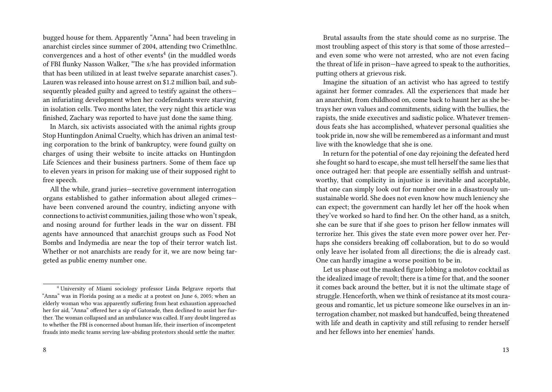bugged house for them. Apparently "Anna" had been traveling in anarchist circles since summer of 2004, attending two CrimethInc. convergences and a host of other events<sup>4</sup> (in the muddled words of FBI flunky Nasson Walker, "The s/he has provided information that has been utilized in at least twelve separate anarchist cases."). Lauren was released into house arrest on \$1.2 million bail, and subsequently pleaded guilty and agreed to testify against the others an infuriating development when her codefendants were starving in isolation cells. Two months later, the very night this article was finished, Zachary was reported to have just done the same thing.

In March, six activists associated with the animal rights group Stop Huntingdon Animal Cruelty, which has driven an animal testing corporation to the brink of bankruptcy, were found guilty on charges of using their website to incite attacks on Huntingdon Life Sciences and their business partners. Some of them face up to eleven years in prison for making use of their supposed right to free speech.

All the while, grand juries—secretive government interrogation organs established to gather information about alleged crimes have been convened around the country, indicting anyone with connections to activist communities, jailing those who won't speak, and nosing around for further leads in the war on dissent. FBI agents have announced that anarchist groups such as Food Not Bombs and Indymedia are near the top of their terror watch list. Whether or not anarchists are ready for it, we are now being targeted as public enemy number one.

Brutal assaults from the state should come as no surprise. The most troubling aspect of this story is that some of those arrested and even some who were not arrested, who are not even facing the threat of life in prison—have agreed to speak to the authorities, putting others at grievous risk.

Imagine the situation of an activist who has agreed to testify against her former comrades. All the experiences that made her an anarchist, from childhood on, come back to haunt her as she betrays her own values and commitments, siding with the bullies, the rapists, the snide executives and sadistic police. Whatever tremendous feats she has accomplished, whatever personal qualities she took pride in, now she will be remembered as a informant and must live with the knowledge that she is one.

In return for the potential of one day rejoining the defeated herd she fought so hard to escape, she must tell herself the same lies that once outraged her: that people are essentially selfish and untrustworthy, that complicity in injustice is inevitable and acceptable, that one can simply look out for number one in a disastrously unsustainable world. She does not even know how much leniency she can expect; the government can hardly let her off the hook when they've worked so hard to find her. On the other hand, as a snitch, she can be sure that if she goes to prison her fellow inmates will terrorize her. This gives the state even more power over her. Perhaps she considers breaking off collaboration, but to do so would only leave her isolated from all directions; the die is already cast. One can hardly imagine a worse position to be in.

Let us phase out the masked figure lobbing a molotov cocktail as the idealized image of revolt; there is a time for that, and the sooner it comes back around the better, but it is not the ultimate stage of struggle. Henceforth, when we think of resistance at its most courageous and romantic, let us picture someone like ourselves in an interrogation chamber, not masked but handcuffed, being threatened with life and death in captivity and still refusing to render herself and her fellows into her enemies' hands.

<sup>4</sup> University of Miami sociology professor Linda Belgrave reports that "Anna" was in Florida posing as a medic at a protest on June 6, 2005; when an elderly woman who was apparently suffering from heat exhaustion approached her for aid, "Anna" offered her a sip of Gatorade, then declined to assist her further. The woman collapsed and an ambulance was called. If any doubt lingered as to whether the FBI is concerned about human life, their insertion of incompetent frauds into medic teams serving law-abiding protestors should settle the matter.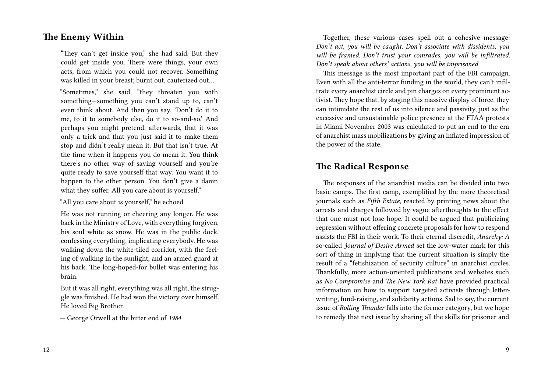### **The Enemy Within**

"They can't get inside you," she had said. But they could get inside you. There were things, your own acts, from which you could not recover. Something was killed in your breast; burnt out, cauterized out…

"Sometimes," she said, "they threaten you with something—something you can't stand up to, can't even think about. And then you say, 'Don't do it to me, to it to somebody else, do it to so-and-so.' And perhaps you might pretend, afterwards, that it was only a trick and that you just said it to make them stop and didn't really mean it. But that isn't true. At the time when it happens you do mean it. You think there's no other way of saving yourself and you're quite ready to save yourself that way. You want it to happen to the other person. You don't give a damn what they suffer. All you care about is yourself."

"All you care about is yourself," he echoed.

He was not running or cheering any longer. He was back in the Ministry of Love, with everything forgiven, his soul white as snow. He was in the public dock, confessing everything, implicating everybody. He was walking down the white-tiled corridor, with the feeling of walking in the sunlight, and an armed guard at his back. The long-hoped-for bullet was entering his brain.

But it was all right, everything was all right, the struggle was finished. He had won the victory over himself. He loved Big Brother.

— George Orwell at the bitter end of *1984*

Together, these various cases spell out a cohesive message: *Don't act, you will be caught. Don't associate with dissidents, you will be framed. Don't trust your comrades, you will be infiltrated. Don't speak about others' actions, you will be imprisoned.*

This message is the most important part of the FBI campaign. Even with all the anti-terror funding in the world, they can't infiltrate every anarchist circle and pin charges on every prominent activist. They hope that, by staging this massive display of force, they can intimidate the rest of us into silence and passivity, just as the excessive and unsustainable police presence at the FTAA protests in Miami November 2003 was calculated to put an end to the era of anarchist mass mobilizations by giving an inflated impression of the power of the state.

## **The Radical Response**

The responses of the anarchist media can be divided into two basic camps. The first camp, exemplified by the more theoretical journals such as *Fifth Estate*, reacted by printing news about the arrests and charges followed by vague afterthoughts to the effect that one must not lose hope. It could be argued that publicizing repression without offering concrete proposals for how to respond assists the FBI in their work. To their eternal discredit, *Anarchy: A* so-called *Journal of Desire Armed* set the low-water mark for this sort of thing in implying that the current situation is simply the result of a "fetishization of security culture" in anarchist circles. Thankfully, more action-oriented publications and websites such as *No Compromise* and *The New York Rat* have provided practical information on how to support targeted activists through letterwriting, fund-raising, and solidarity actions. Sad to say, the current issue of *Rolling Thunder* falls into the former category, but we hope to remedy that next issue by sharing all the skills for prisoner and